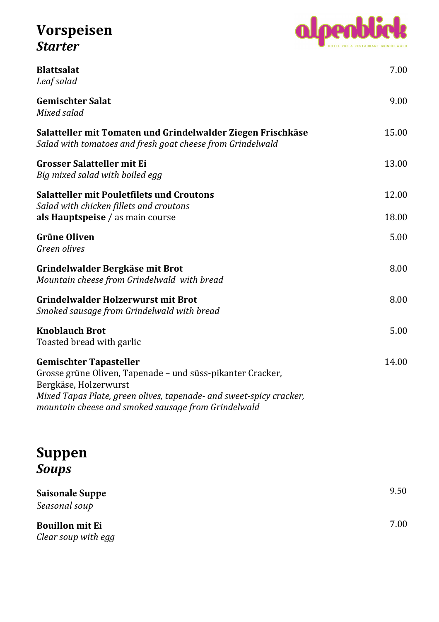## **Vorspeisen**  *Starter*



| <b>Blattsalat</b><br>Leaf salad                                                                                                                                                                                                                    | 7.00  |
|----------------------------------------------------------------------------------------------------------------------------------------------------------------------------------------------------------------------------------------------------|-------|
| <b>Gemischter Salat</b><br>Mixed salad                                                                                                                                                                                                             | 9.00  |
| Salatteller mit Tomaten und Grindelwalder Ziegen Frischkäse<br>Salad with tomatoes and fresh goat cheese from Grindelwald                                                                                                                          | 15.00 |
| <b>Grosser Salatteller mit Ei</b><br>Big mixed salad with boiled egg                                                                                                                                                                               | 13.00 |
| <b>Salatteller mit Pouletfilets und Croutons</b>                                                                                                                                                                                                   | 12.00 |
| Salad with chicken fillets and croutons<br>als Hauptspeise / as main course                                                                                                                                                                        | 18.00 |
| <b>Grüne Oliven</b><br>Green olives                                                                                                                                                                                                                | 5.00  |
| Grindelwalder Bergkäse mit Brot<br>Mountain cheese from Grindelwald with bread                                                                                                                                                                     | 8.00  |
| <b>Grindelwalder Holzerwurst mit Brot</b><br>Smoked sausage from Grindelwald with bread                                                                                                                                                            | 8.00  |
| <b>Knoblauch Brot</b><br>Toasted bread with garlic                                                                                                                                                                                                 | 5.00  |
| <b>Gemischter Tapasteller</b><br>Grosse grüne Oliven, Tapenade - und süss-pikanter Cracker,<br>Bergkäse, Holzerwurst<br>Mixed Tapas Plate, green olives, tapenade- and sweet-spicy cracker,<br>mountain cheese and smoked sausage from Grindelwald | 14.00 |

## **Suppen**  *Soups*

| <b>Saisonale Suppe</b><br>Seasonal soup | 9.50 |
|-----------------------------------------|------|
| <b>Bouillon mit Ei</b>                  | 7.00 |
| Clear soup with egg                     |      |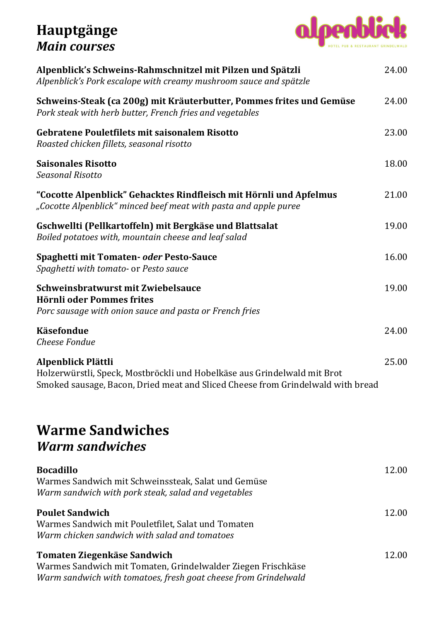## **Hauptgänge**  *Main courses*



| Alpenblick's Schweins-Rahmschnitzel mit Pilzen und Spätzli<br>Alpenblick's Pork escalope with creamy mushroom sauce and spätzle                                                   | 24.00 |
|-----------------------------------------------------------------------------------------------------------------------------------------------------------------------------------|-------|
| Schweins-Steak (ca 200g) mit Kräuterbutter, Pommes frites und Gemüse<br>Pork steak with herb butter, French fries and vegetables                                                  |       |
| <b>Gebratene Pouletfilets mit saisonalem Risotto</b><br>Roasted chicken fillets, seasonal risotto                                                                                 | 23.00 |
| <b>Saisonales Risotto</b><br><b>Seasonal Risotto</b>                                                                                                                              | 18.00 |
| "Cocotte Alpenblick" Gehacktes Rindfleisch mit Hörnli und Apfelmus<br>"Cocotte Alpenblick" minced beef meat with pasta and apple puree                                            | 21.00 |
| Gschwellti (Pellkartoffeln) mit Bergkäse und Blattsalat<br>Boiled potatoes with, mountain cheese and leaf salad                                                                   | 19.00 |
| Spaghetti mit Tomaten- oder Pesto-Sauce<br>Spaghetti with tomato- or Pesto sauce                                                                                                  | 16.00 |
| Schweinsbratwurst mit Zwiebelsauce<br>Hörnli oder Pommes frites<br>Porc sausage with onion sauce and pasta or French fries                                                        | 19.00 |
| Käsefondue<br><b>Cheese Fondue</b>                                                                                                                                                | 24.00 |
| Alpenblick Plättli<br>Holzerwürstli, Speck, Mostbröckli und Hobelkäse aus Grindelwald mit Brot<br>Smoked sausage, Bacon, Dried meat and Sliced Cheese from Grindelwald with bread | 25.00 |
| <b>Warme Sandwiches</b><br><b>Warm sandwiches</b>                                                                                                                                 |       |
|                                                                                                                                                                                   |       |

| <b>Bocadillo</b>                                                | 12.00 |
|-----------------------------------------------------------------|-------|
| Warmes Sandwich mit Schweinssteak, Salat und Gemüse             |       |
| Warm sandwich with pork steak, salad and vegetables             |       |
| <b>Poulet Sandwich</b>                                          | 12.00 |
| Warmes Sandwich mit Pouletfilet, Salat und Tomaten              |       |
| Warm chicken sandwich with salad and tomatoes                   |       |
| Tomaten Ziegenkäse Sandwich                                     | 12.00 |
| Warmes Sandwich mit Tomaten, Grindelwalder Ziegen Frischkäse    |       |
| Warm sandwich with tomatoes, fresh goat cheese from Grindelwald |       |